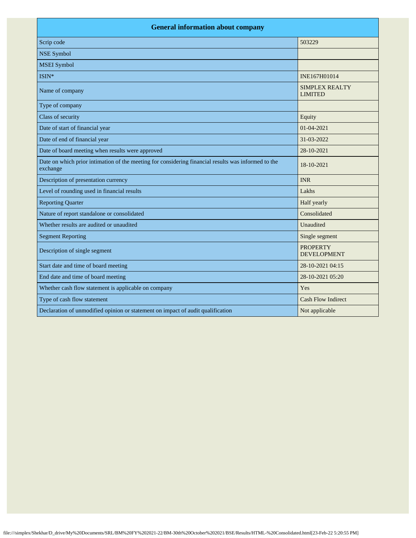| <b>General information about company</b>                                                                        |                                         |  |
|-----------------------------------------------------------------------------------------------------------------|-----------------------------------------|--|
| Scrip code                                                                                                      | 503229                                  |  |
| <b>NSE Symbol</b>                                                                                               |                                         |  |
| <b>MSEI</b> Symbol                                                                                              |                                         |  |
| ISIN*                                                                                                           | INE167H01014                            |  |
| Name of company                                                                                                 | <b>SIMPLEX REALTY</b><br><b>LIMITED</b> |  |
| Type of company                                                                                                 |                                         |  |
| Class of security                                                                                               | Equity                                  |  |
| Date of start of financial year                                                                                 | 01-04-2021                              |  |
| Date of end of financial year                                                                                   | 31-03-2022                              |  |
| Date of board meeting when results were approved                                                                | 28-10-2021                              |  |
| Date on which prior intimation of the meeting for considering financial results was informed to the<br>exchange | 18-10-2021                              |  |
| Description of presentation currency                                                                            | <b>INR</b>                              |  |
| Level of rounding used in financial results                                                                     | Lakhs                                   |  |
| <b>Reporting Quarter</b>                                                                                        | Half yearly                             |  |
| Nature of report standalone or consolidated                                                                     | Consolidated                            |  |
| Whether results are audited or unaudited                                                                        | Unaudited                               |  |
| <b>Segment Reporting</b>                                                                                        | Single segment                          |  |
| Description of single segment                                                                                   | <b>PROPERTY</b><br><b>DEVELOPMENT</b>   |  |
| Start date and time of board meeting                                                                            | 28-10-2021 04:15                        |  |
| End date and time of board meeting                                                                              | 28-10-2021 05:20                        |  |
| Whether cash flow statement is applicable on company                                                            | Yes                                     |  |
| Type of cash flow statement                                                                                     | <b>Cash Flow Indirect</b>               |  |
| Declaration of unmodified opinion or statement on impact of audit qualification                                 | Not applicable                          |  |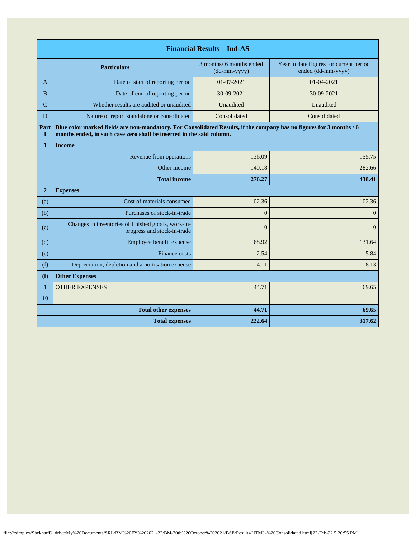| <b>Financial Results - Ind-AS</b> |                                                                                                                                                                                               |                                          |                                                               |
|-----------------------------------|-----------------------------------------------------------------------------------------------------------------------------------------------------------------------------------------------|------------------------------------------|---------------------------------------------------------------|
| <b>Particulars</b>                |                                                                                                                                                                                               | 3 months/ 6 months ended<br>(dd-mm-yyyy) | Year to date figures for current period<br>ended (dd-mm-yyyy) |
| $\mathbf{A}$                      | Date of start of reporting period                                                                                                                                                             | 01-07-2021                               | 01-04-2021                                                    |
| B                                 | Date of end of reporting period                                                                                                                                                               | 30-09-2021                               | 30-09-2021                                                    |
| C                                 | Whether results are audited or unaudited                                                                                                                                                      | Unaudited                                | Unaudited                                                     |
| D                                 | Nature of report standalone or consolidated                                                                                                                                                   | Consolidated                             | Consolidated                                                  |
| Part<br>$\mathbf{I}$              | Blue color marked fields are non-mandatory. For Consolidated Results, if the company has no figures for 3 months / 6<br>months ended, in such case zero shall be inserted in the said column. |                                          |                                                               |
| $\mathbf{1}$                      | <b>Income</b>                                                                                                                                                                                 |                                          |                                                               |
|                                   | Revenue from operations                                                                                                                                                                       | 136.09                                   | 155.75                                                        |
|                                   | Other income                                                                                                                                                                                  | 140.18                                   | 282.66                                                        |
|                                   | <b>Total income</b>                                                                                                                                                                           | 276.27                                   | 438.41                                                        |
| $\overline{2}$                    | <b>Expenses</b>                                                                                                                                                                               |                                          |                                                               |
| (a)                               | Cost of materials consumed                                                                                                                                                                    | 102.36                                   | 102.36                                                        |
| (b)                               | Purchases of stock-in-trade                                                                                                                                                                   | $\Omega$                                 | $\overline{0}$                                                |
| (c)                               | Changes in inventories of finished goods, work-in-<br>progress and stock-in-trade                                                                                                             | $\Omega$                                 | $\overline{0}$                                                |
| (d)                               | Employee benefit expense                                                                                                                                                                      | 68.92                                    | 131.64                                                        |
| (e)                               | Finance costs                                                                                                                                                                                 | 2.54                                     | 5.84                                                          |
| (f)                               | Depreciation, depletion and amortisation expense                                                                                                                                              | 4.11                                     | 8.13                                                          |
| (f)                               | <b>Other Expenses</b>                                                                                                                                                                         |                                          |                                                               |
| $\mathbf{1}$                      | <b>OTHER EXPENSES</b>                                                                                                                                                                         | 44.71                                    | 69.65                                                         |
| 10                                |                                                                                                                                                                                               |                                          |                                                               |
|                                   | <b>Total other expenses</b>                                                                                                                                                                   | 44.71                                    | 69.65                                                         |
|                                   | <b>Total expenses</b>                                                                                                                                                                         | 222.64                                   | 317.62                                                        |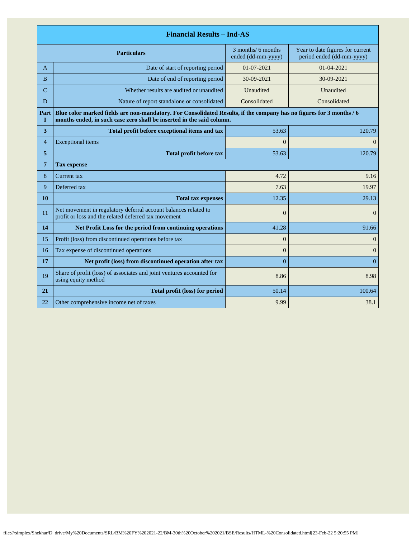|                | <b>Financial Results - Ind-AS</b>                                                                                                                                                             |                                          |                                                               |  |
|----------------|-----------------------------------------------------------------------------------------------------------------------------------------------------------------------------------------------|------------------------------------------|---------------------------------------------------------------|--|
|                | <b>Particulars</b>                                                                                                                                                                            | 3 months/ 6 months<br>ended (dd-mm-yyyy) | Year to date figures for current<br>period ended (dd-mm-yyyy) |  |
| A              | Date of start of reporting period                                                                                                                                                             | $01-07-2021$                             | $01 - 04 - 2021$                                              |  |
| B              | Date of end of reporting period                                                                                                                                                               | 30-09-2021                               | 30-09-2021                                                    |  |
| $\overline{C}$ | Whether results are audited or unaudited                                                                                                                                                      | Unaudited                                | Unaudited                                                     |  |
| D              | Nature of report standalone or consolidated                                                                                                                                                   | Consolidated                             | Consolidated                                                  |  |
| Part<br>1      | Blue color marked fields are non-mandatory. For Consolidated Results, if the company has no figures for 3 months / 6<br>months ended, in such case zero shall be inserted in the said column. |                                          |                                                               |  |
| 3              | Total profit before exceptional items and tax                                                                                                                                                 | 53.63                                    | 120.79                                                        |  |
| $\overline{4}$ | <b>Exceptional</b> items                                                                                                                                                                      | $\theta$                                 | $\Omega$                                                      |  |
| 5              | <b>Total profit before tax</b>                                                                                                                                                                | 53.63                                    | 120.79                                                        |  |
| 7              | <b>Tax expense</b>                                                                                                                                                                            |                                          |                                                               |  |
| 8              | Current tax                                                                                                                                                                                   | 4.72                                     | 9.16                                                          |  |
| 9              | Deferred tax                                                                                                                                                                                  | 7.63                                     | 19.97                                                         |  |
| 10             | <b>Total tax expenses</b>                                                                                                                                                                     | 12.35                                    | 29.13                                                         |  |
| 11             | Net movement in regulatory deferral account balances related to<br>profit or loss and the related deferred tax movement                                                                       | $\overline{0}$                           | $\Omega$                                                      |  |
| 14             | Net Profit Loss for the period from continuing operations                                                                                                                                     | 41.28                                    | 91.66                                                         |  |
| 15             | Profit (loss) from discontinued operations before tax                                                                                                                                         | $\overline{0}$                           | $\overline{0}$                                                |  |
| 16             | Tax expense of discontinued operations                                                                                                                                                        | $\overline{0}$                           | $\boldsymbol{0}$                                              |  |
| 17             | Net profit (loss) from discontinued operation after tax                                                                                                                                       | $\overline{0}$                           | $\Omega$                                                      |  |
| 19             | Share of profit (loss) of associates and joint ventures accounted for<br>using equity method                                                                                                  | 8.86                                     | 8.98                                                          |  |
| 21             | <b>Total profit (loss) for period</b>                                                                                                                                                         | 50.14                                    | 100.64                                                        |  |
| 22             | Other comprehensive income net of taxes                                                                                                                                                       | 9.99                                     | 38.1                                                          |  |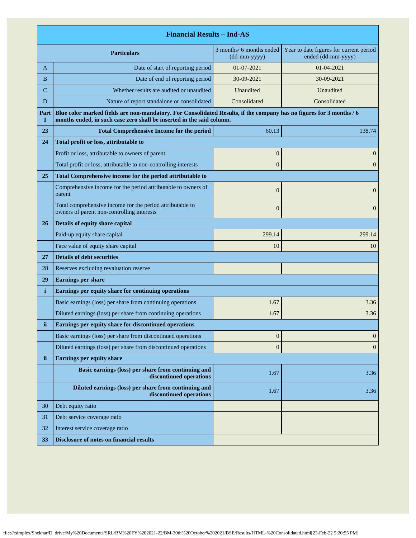|             | <b>Financial Results - Ind-AS</b>                                                                                                                                                             |                                                                  |                                                               |  |
|-------------|-----------------------------------------------------------------------------------------------------------------------------------------------------------------------------------------------|------------------------------------------------------------------|---------------------------------------------------------------|--|
|             | <b>Particulars</b>                                                                                                                                                                            | 3 months/ 6 months ended<br>$(dd{\text{-}\!\!\,\text{mm-}}yyyy)$ | Year to date figures for current period<br>ended (dd-mm-yyyy) |  |
| A           | Date of start of reporting period                                                                                                                                                             | 01-07-2021                                                       | 01-04-2021                                                    |  |
| B           | Date of end of reporting period                                                                                                                                                               | 30-09-2021                                                       | 30-09-2021                                                    |  |
| $\mathbf C$ | Whether results are audited or unaudited                                                                                                                                                      | Unaudited                                                        | Unaudited                                                     |  |
| D           | Nature of report standalone or consolidated                                                                                                                                                   | Consolidated                                                     | Consolidated                                                  |  |
| Part<br>I   | Blue color marked fields are non-mandatory. For Consolidated Results, if the company has no figures for 3 months / 6<br>months ended, in such case zero shall be inserted in the said column. |                                                                  |                                                               |  |
| 23          | <b>Total Comprehensive Income for the period</b>                                                                                                                                              | 60.13                                                            | 138.74                                                        |  |
| 24          | Total profit or loss, attributable to                                                                                                                                                         |                                                                  |                                                               |  |
|             | Profit or loss, attributable to owners of parent                                                                                                                                              | $\boldsymbol{0}$                                                 | $\mathbf{0}$                                                  |  |
|             | Total profit or loss, attributable to non-controlling interests                                                                                                                               | $\overline{0}$                                                   | $\mathbf{0}$                                                  |  |
| 25          | Total Comprehensive income for the period attributable to                                                                                                                                     |                                                                  |                                                               |  |
|             | Comprehensive income for the period attributable to owners of<br>parent                                                                                                                       | $\overline{0}$                                                   | $\mathbf{0}$                                                  |  |
|             | Total comprehensive income for the period attributable to<br>owners of parent non-controlling interests                                                                                       | $\overline{0}$                                                   | $\mathbf{0}$                                                  |  |
| 26          | Details of equity share capital                                                                                                                                                               |                                                                  |                                                               |  |
|             | Paid-up equity share capital                                                                                                                                                                  | 299.14                                                           | 299.14                                                        |  |
|             | Face value of equity share capital                                                                                                                                                            | 10                                                               | 10                                                            |  |
| 27          | <b>Details of debt securities</b>                                                                                                                                                             |                                                                  |                                                               |  |
| 28          | Reserves excluding revaluation reserve                                                                                                                                                        |                                                                  |                                                               |  |
| 29          | <b>Earnings per share</b>                                                                                                                                                                     |                                                                  |                                                               |  |
| i           | Earnings per equity share for continuing operations                                                                                                                                           |                                                                  |                                                               |  |
|             | Basic earnings (loss) per share from continuing operations                                                                                                                                    | 1.67                                                             | 3.36                                                          |  |
|             | Diluted earnings (loss) per share from continuing operations                                                                                                                                  | 1.67                                                             | 3.36                                                          |  |
| ii          | Earnings per equity share for discontinued operations                                                                                                                                         |                                                                  |                                                               |  |
|             | Basic earnings (loss) per share from discontinued operations                                                                                                                                  | $\boldsymbol{0}$                                                 | $\mathbf{0}$                                                  |  |
|             | Diluted earnings (loss) per share from discontinued operations                                                                                                                                | $\boldsymbol{0}$                                                 | $\boldsymbol{0}$                                              |  |
| ii.         | <b>Earnings per equity share</b>                                                                                                                                                              |                                                                  |                                                               |  |
|             | Basic earnings (loss) per share from continuing and<br>discontinued operations                                                                                                                | 1.67                                                             | 3.36                                                          |  |
|             | Diluted earnings (loss) per share from continuing and<br>discontinued operations                                                                                                              | 1.67                                                             | 3.36                                                          |  |
| 30          | Debt equity ratio                                                                                                                                                                             |                                                                  |                                                               |  |
| 31          | Debt service coverage ratio                                                                                                                                                                   |                                                                  |                                                               |  |
| 32          | Interest service coverage ratio                                                                                                                                                               |                                                                  |                                                               |  |
| 33          | <b>Disclosure of notes on financial results</b>                                                                                                                                               |                                                                  |                                                               |  |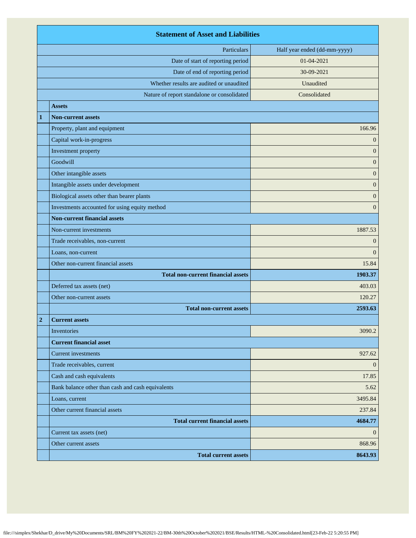|                                           | <b>Statement of Asset and Liabilities</b>         |                              |  |
|-------------------------------------------|---------------------------------------------------|------------------------------|--|
|                                           | Particulars                                       | Half year ended (dd-mm-yyyy) |  |
|                                           | Date of start of reporting period                 | 01-04-2021                   |  |
|                                           | Date of end of reporting period                   | 30-09-2021                   |  |
|                                           | Whether results are audited or unaudited          | Unaudited                    |  |
|                                           | Nature of report standalone or consolidated       | Consolidated                 |  |
|                                           | <b>Assets</b>                                     |                              |  |
| 1                                         | <b>Non-current assets</b>                         |                              |  |
|                                           | Property, plant and equipment                     | 166.96                       |  |
|                                           | Capital work-in-progress                          | $\mathbf{0}$                 |  |
|                                           | Investment property                               | $\mathbf{0}$                 |  |
|                                           | Goodwill                                          | $\mathbf{0}$                 |  |
|                                           | Other intangible assets                           | $\mathbf{0}$                 |  |
|                                           | Intangible assets under development               | $\mathbf{0}$                 |  |
|                                           | Biological assets other than bearer plants        | $\mathbf{0}$                 |  |
|                                           | Investments accounted for using equity method     | $\overline{0}$               |  |
|                                           | <b>Non-current financial assets</b>               |                              |  |
| Non-current investments                   |                                                   | 1887.53                      |  |
| Trade receivables, non-current            |                                                   | $\theta$                     |  |
|                                           | Loans, non-current                                |                              |  |
| Other non-current financial assets        |                                                   | 15.84                        |  |
| <b>Total non-current financial assets</b> |                                                   | 1903.37                      |  |
|                                           | Deferred tax assets (net)                         |                              |  |
|                                           | Other non-current assets                          | 120.27                       |  |
|                                           | <b>Total non-current assets</b>                   | 2593.63                      |  |
| $\overline{2}$                            | <b>Current assets</b>                             |                              |  |
|                                           | Inventories                                       | 3090.2                       |  |
|                                           | <b>Current financial asset</b>                    |                              |  |
|                                           | <b>Current investments</b>                        | 927.62                       |  |
|                                           | Trade receivables, current                        | $\mathbf{0}$                 |  |
|                                           | Cash and cash equivalents                         | 17.85                        |  |
|                                           | Bank balance other than cash and cash equivalents | 5.62                         |  |
|                                           | Loans, current                                    | 3495.84                      |  |
|                                           | Other current financial assets                    | 237.84                       |  |
|                                           | <b>Total current financial assets</b>             | 4684.77                      |  |
|                                           | Current tax assets (net)                          | $\overline{0}$               |  |
|                                           | Other current assets                              | 868.96                       |  |
|                                           | <b>Total current assets</b>                       | 8643.93                      |  |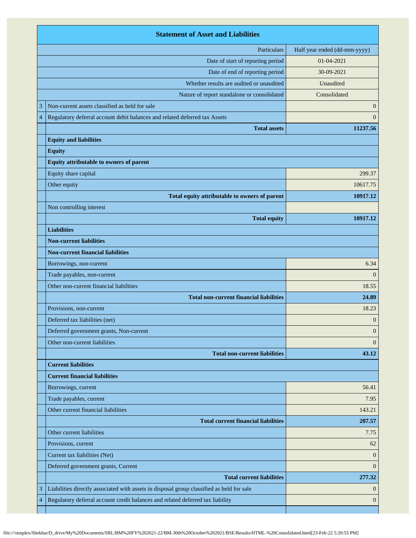|                | <b>Statement of Asset and Liabilities</b>                                                 |                              |  |
|----------------|-------------------------------------------------------------------------------------------|------------------------------|--|
|                | Particulars                                                                               | Half year ended (dd-mm-yyyy) |  |
|                | Date of start of reporting period                                                         | 01-04-2021                   |  |
|                | Date of end of reporting period                                                           | 30-09-2021                   |  |
|                | Whether results are audited or unaudited                                                  | Unaudited                    |  |
|                | Nature of report standalone or consolidated                                               | Consolidated                 |  |
| 3              | Non-current assets classified as held for sale                                            | $\boldsymbol{0}$             |  |
| $\overline{4}$ | Regulatory deferral account debit balances and related deferred tax Assets                | $\mathbf{0}$                 |  |
|                | <b>Total assets</b>                                                                       | 11237.56                     |  |
|                | <b>Equity and liabilities</b>                                                             |                              |  |
|                | <b>Equity</b>                                                                             |                              |  |
|                | Equity attributable to owners of parent                                                   |                              |  |
|                | Equity share capital                                                                      | 299.37                       |  |
|                | Other equity                                                                              | 10617.75                     |  |
|                | Total equity attributable to owners of parent                                             | 10917.12                     |  |
|                | Non controlling interest                                                                  |                              |  |
|                | <b>Total equity</b>                                                                       | 10917.12                     |  |
|                | <b>Liabilities</b>                                                                        |                              |  |
|                | <b>Non-current liabilities</b>                                                            |                              |  |
|                | <b>Non-current financial liabilities</b>                                                  |                              |  |
|                | Borrowings, non-current                                                                   | 6.34                         |  |
|                | Trade payables, non-current                                                               | $\overline{0}$               |  |
|                | Other non-current financial liabilities                                                   | 18.55                        |  |
|                | <b>Total non-current financial liabilities</b>                                            | 24.89                        |  |
|                | Provisions, non-current                                                                   | 18.23                        |  |
|                | Deferred tax liabilities (net)                                                            | $\boldsymbol{0}$             |  |
|                | Deferred government grants, Non-current                                                   | $\mathbf{0}$                 |  |
|                | Other non-current liabilities                                                             | $\overline{0}$               |  |
|                | <b>Total non-current liabilities</b>                                                      | 43.12                        |  |
|                | <b>Current liabilities</b>                                                                |                              |  |
|                | <b>Current financial liabilities</b>                                                      |                              |  |
|                | Borrowings, current                                                                       | 56.41                        |  |
|                | Trade payables, current                                                                   | 7.95                         |  |
|                | Other current financial liabilities                                                       | 143.21                       |  |
|                | <b>Total current financial liabilities</b>                                                | 207.57                       |  |
|                | Other current liabilities                                                                 | 7.75                         |  |
|                | Provisions, current                                                                       | 62                           |  |
|                | Current tax liabilities (Net)                                                             | $\overline{0}$               |  |
|                | Deferred government grants, Current                                                       | $\overline{0}$               |  |
|                | <b>Total current liabilities</b>                                                          | 277.32                       |  |
| 3              | Liabilities directly associated with assets in disposal group classified as held for sale | $\overline{0}$               |  |
| 4              | Regulatory deferral account credit balances and related deferred tax liability            | $\mathbf{0}$                 |  |
|                |                                                                                           |                              |  |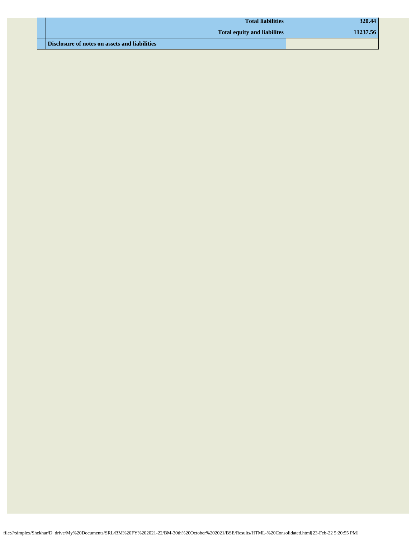| <b>Total liabilities</b>                      | 320.44   |
|-----------------------------------------------|----------|
| <b>Total equity and liabilites</b>            | 11237.56 |
| Disclosure of notes on assets and liabilities |          |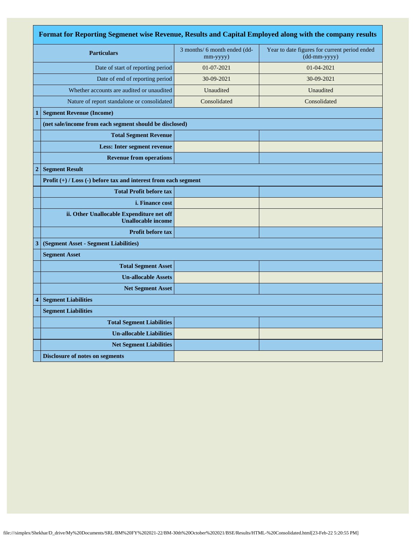| Format for Reporting Segmenet wise Revenue, Results and Capital Employed along with the company results |                                                                        |                                          |                                                               |  |
|---------------------------------------------------------------------------------------------------------|------------------------------------------------------------------------|------------------------------------------|---------------------------------------------------------------|--|
|                                                                                                         | <b>Particulars</b>                                                     | 3 months/ 6 month ended (dd-<br>mm-yyyy) | Year to date figures for current period ended<br>(dd-mm-yyyy) |  |
|                                                                                                         | Date of start of reporting period                                      | 01-07-2021                               | 01-04-2021                                                    |  |
|                                                                                                         | Date of end of reporting period                                        | 30-09-2021                               | 30-09-2021                                                    |  |
|                                                                                                         | Whether accounts are audited or unaudited                              | Unaudited                                | Unaudited                                                     |  |
|                                                                                                         | Nature of report standalone or consolidated                            | Consolidated                             | Consolidated                                                  |  |
| 1                                                                                                       | <b>Segment Revenue (Income)</b>                                        |                                          |                                                               |  |
|                                                                                                         | (net sale/income from each segment should be disclosed)                |                                          |                                                               |  |
|                                                                                                         | <b>Total Segment Revenue</b>                                           |                                          |                                                               |  |
|                                                                                                         | <b>Less: Inter segment revenue</b>                                     |                                          |                                                               |  |
|                                                                                                         | <b>Revenue from operations</b>                                         |                                          |                                                               |  |
| $\overline{2}$                                                                                          | <b>Segment Result</b>                                                  |                                          |                                                               |  |
|                                                                                                         | Profit (+) / Loss (-) before tax and interest from each segment        |                                          |                                                               |  |
|                                                                                                         | <b>Total Profit before tax</b>                                         |                                          |                                                               |  |
|                                                                                                         | <i>i.</i> Finance cost                                                 |                                          |                                                               |  |
|                                                                                                         | ii. Other Unallocable Expenditure net off<br><b>Unallocable income</b> |                                          |                                                               |  |
|                                                                                                         | <b>Profit before tax</b>                                               |                                          |                                                               |  |
| 3                                                                                                       | (Segment Asset - Segment Liabilities)                                  |                                          |                                                               |  |
|                                                                                                         | <b>Segment Asset</b>                                                   |                                          |                                                               |  |
|                                                                                                         | <b>Total Segment Asset</b>                                             |                                          |                                                               |  |
|                                                                                                         | <b>Un-allocable Assets</b>                                             |                                          |                                                               |  |
|                                                                                                         | <b>Net Segment Asset</b>                                               |                                          |                                                               |  |
| 4                                                                                                       | <b>Segment Liabilities</b>                                             |                                          |                                                               |  |
|                                                                                                         | <b>Segment Liabilities</b>                                             |                                          |                                                               |  |
|                                                                                                         | <b>Total Segment Liabilities</b>                                       |                                          |                                                               |  |
|                                                                                                         | <b>Un-allocable Liabilities</b>                                        |                                          |                                                               |  |
|                                                                                                         | <b>Net Segment Liabilities</b>                                         |                                          |                                                               |  |
|                                                                                                         | <b>Disclosure of notes on segments</b>                                 |                                          |                                                               |  |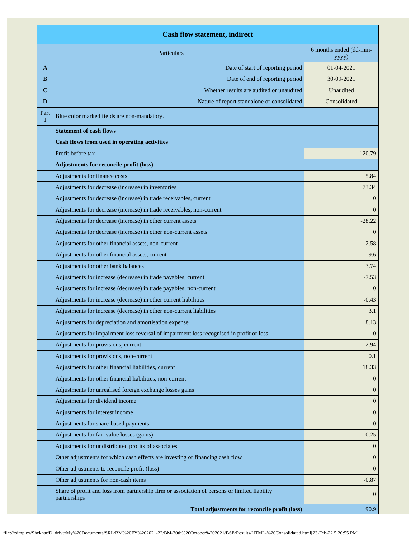|             | <b>Cash flow statement, indirect</b>                                                                          |                                 |  |
|-------------|---------------------------------------------------------------------------------------------------------------|---------------------------------|--|
|             | Particulars                                                                                                   | 6 months ended (dd-mm-<br>yyyy) |  |
| A           | Date of start of reporting period                                                                             | $01 - 04 - 2021$                |  |
| B           | Date of end of reporting period                                                                               | 30-09-2021                      |  |
| $\mathbf C$ | Whether results are audited or unaudited                                                                      | Unaudited                       |  |
| D           | Nature of report standalone or consolidated                                                                   | Consolidated                    |  |
| Part<br>I   | Blue color marked fields are non-mandatory.                                                                   |                                 |  |
|             | <b>Statement of cash flows</b>                                                                                |                                 |  |
|             | Cash flows from used in operating activities                                                                  |                                 |  |
|             | Profit before tax                                                                                             | 120.79                          |  |
|             | Adjustments for reconcile profit (loss)                                                                       |                                 |  |
|             | Adjustments for finance costs                                                                                 | 5.84                            |  |
|             | Adjustments for decrease (increase) in inventories                                                            | 73.34                           |  |
|             | Adjustments for decrease (increase) in trade receivables, current                                             | $\Omega$                        |  |
|             | Adjustments for decrease (increase) in trade receivables, non-current                                         | $\Omega$                        |  |
|             | Adjustments for decrease (increase) in other current assets                                                   | $-28.22$                        |  |
|             | Adjustments for decrease (increase) in other non-current assets                                               | $\Omega$                        |  |
|             | Adjustments for other financial assets, non-current                                                           | 2.58                            |  |
|             | Adjustments for other financial assets, current                                                               | 9.6                             |  |
|             | Adjustments for other bank balances                                                                           | 3.74                            |  |
|             | Adjustments for increase (decrease) in trade payables, current                                                | $-7.53$                         |  |
|             | Adjustments for increase (decrease) in trade payables, non-current                                            | $\Omega$                        |  |
|             | Adjustments for increase (decrease) in other current liabilities                                              | $-0.43$                         |  |
|             | Adjustments for increase (decrease) in other non-current liabilities                                          | 3.1                             |  |
|             | Adjustments for depreciation and amortisation expense                                                         | 8.13                            |  |
|             | Adjustments for impairment loss reversal of impairment loss recognised in profit or loss                      | $\overline{0}$                  |  |
|             | Adjustments for provisions, current                                                                           | 2.94                            |  |
|             | Adjustments for provisions, non-current                                                                       | 0.1                             |  |
|             | Adjustments for other financial liabilities, current                                                          | 18.33                           |  |
|             | Adjustments for other financial liabilities, non-current                                                      | $\overline{0}$                  |  |
|             | Adjustments for unrealised foreign exchange losses gains                                                      | $\overline{0}$                  |  |
|             | Adjustments for dividend income                                                                               | $\overline{0}$                  |  |
|             | Adjustments for interest income                                                                               | $\mathbf{0}$                    |  |
|             | Adjustments for share-based payments                                                                          | $\overline{0}$                  |  |
|             | Adjustments for fair value losses (gains)                                                                     | 0.25                            |  |
|             | Adjustments for undistributed profits of associates                                                           | $\overline{0}$                  |  |
|             | Other adjustments for which cash effects are investing or financing cash flow                                 | $\overline{0}$                  |  |
|             | Other adjustments to reconcile profit (loss)                                                                  | $\overline{0}$                  |  |
|             | Other adjustments for non-cash items                                                                          | $-0.87$                         |  |
|             | Share of profit and loss from partnership firm or association of persons or limited liability<br>partnerships | $\overline{0}$                  |  |
|             | Total adjustments for reconcile profit (loss)                                                                 | 90.9                            |  |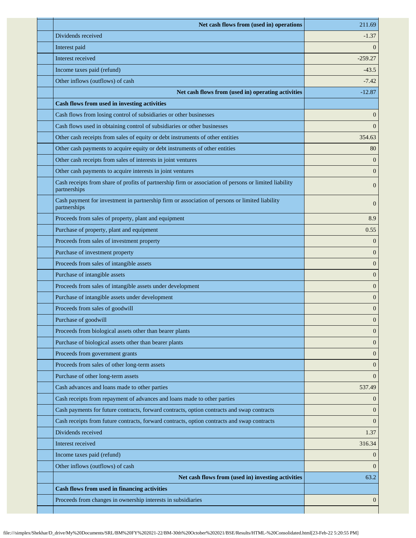| Net cash flows from (used in) operations                                                                               | 211.69           |
|------------------------------------------------------------------------------------------------------------------------|------------------|
| Dividends received                                                                                                     | $-1.37$          |
| Interest paid                                                                                                          | $\Omega$         |
| Interest received                                                                                                      | $-259.27$        |
| Income taxes paid (refund)                                                                                             | $-43.5$          |
| Other inflows (outflows) of cash                                                                                       | $-7.42$          |
| Net cash flows from (used in) operating activities                                                                     | $-12.87$         |
| <b>Cash flows from used in investing activities</b>                                                                    |                  |
| Cash flows from losing control of subsidiaries or other businesses                                                     | $\mathbf{0}$     |
| Cash flows used in obtaining control of subsidiaries or other businesses                                               | $\overline{0}$   |
| Other cash receipts from sales of equity or debt instruments of other entities                                         | 354.63           |
| Other cash payments to acquire equity or debt instruments of other entities                                            | 80               |
| Other cash receipts from sales of interests in joint ventures                                                          | $\mathbf{0}$     |
| Other cash payments to acquire interests in joint ventures                                                             | $\theta$         |
| Cash receipts from share of profits of partnership firm or association of persons or limited liability<br>partnerships | $\overline{0}$   |
| Cash payment for investment in partnership firm or association of persons or limited liability<br>partnerships         | $\overline{0}$   |
| Proceeds from sales of property, plant and equipment                                                                   | 8.9              |
| Purchase of property, plant and equipment                                                                              | 0.55             |
| Proceeds from sales of investment property                                                                             | $\mathbf{0}$     |
| Purchase of investment property                                                                                        | $\overline{0}$   |
| Proceeds from sales of intangible assets                                                                               | $\boldsymbol{0}$ |
| Purchase of intangible assets                                                                                          | $\overline{0}$   |
| Proceeds from sales of intangible assets under development                                                             | $\mathbf{0}$     |
| Purchase of intangible assets under development                                                                        | $\mathbf{0}$     |
| Proceeds from sales of goodwill                                                                                        | $\boldsymbol{0}$ |
| Purchase of goodwill                                                                                                   | $\mathbf{0}$     |
| Proceeds from biological assets other than bearer plants                                                               | $\mathbf{0}$     |
| Purchase of biological assets other than bearer plants                                                                 | $\mathbf{0}$     |
| Proceeds from government grants                                                                                        | $\overline{0}$   |
| Proceeds from sales of other long-term assets                                                                          | $\overline{0}$   |
| Purchase of other long-term assets                                                                                     | $\overline{0}$   |
| Cash advances and loans made to other parties                                                                          | 537.49           |
| Cash receipts from repayment of advances and loans made to other parties                                               | $\overline{0}$   |
| Cash payments for future contracts, forward contracts, option contracts and swap contracts                             | $\overline{0}$   |
| Cash receipts from future contracts, forward contracts, option contracts and swap contracts                            | $\overline{0}$   |
| Dividends received                                                                                                     | 1.37             |
| Interest received                                                                                                      | 316.34           |
| Income taxes paid (refund)                                                                                             | $\mathbf{0}$     |
| Other inflows (outflows) of cash                                                                                       | $\Omega$         |
| Net cash flows from (used in) investing activities                                                                     | 63.2             |
| Cash flows from used in financing activities                                                                           |                  |
| Proceeds from changes in ownership interests in subsidiaries                                                           | $\overline{0}$   |
|                                                                                                                        |                  |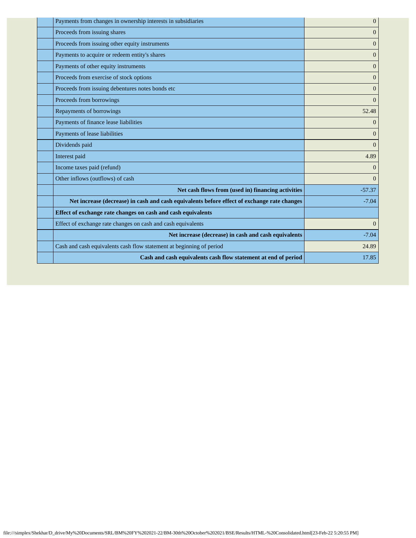| Payments from changes in ownership interests in subsidiaries                                | $\overline{0}$ |
|---------------------------------------------------------------------------------------------|----------------|
| Proceeds from issuing shares                                                                | $\overline{0}$ |
| Proceeds from issuing other equity instruments                                              | $\mathbf{0}$   |
| Payments to acquire or redeem entity's shares                                               | $\Omega$       |
| Payments of other equity instruments                                                        | $\overline{0}$ |
| Proceeds from exercise of stock options                                                     | $\overline{0}$ |
| Proceeds from issuing debentures notes bonds etc                                            | $\overline{0}$ |
| Proceeds from borrowings                                                                    | $\overline{0}$ |
| Repayments of borrowings                                                                    | 52.48          |
| Payments of finance lease liabilities                                                       | $\overline{0}$ |
| Payments of lease liabilities                                                               | $\overline{0}$ |
| Dividends paid                                                                              | $\overline{0}$ |
| Interest paid                                                                               | 4.89           |
| Income taxes paid (refund)                                                                  | $\overline{0}$ |
| Other inflows (outflows) of cash                                                            | $\overline{0}$ |
| Net cash flows from (used in) financing activities                                          | $-57.37$       |
| Net increase (decrease) in cash and cash equivalents before effect of exchange rate changes | $-7.04$        |
| Effect of exchange rate changes on cash and cash equivalents                                |                |
| Effect of exchange rate changes on cash and cash equivalents                                | $\overline{0}$ |
| Net increase (decrease) in cash and cash equivalents                                        | $-7.04$        |
| Cash and cash equivalents cash flow statement at beginning of period                        | 24.89          |
| Cash and cash equivalents cash flow statement at end of period                              | 17.85          |